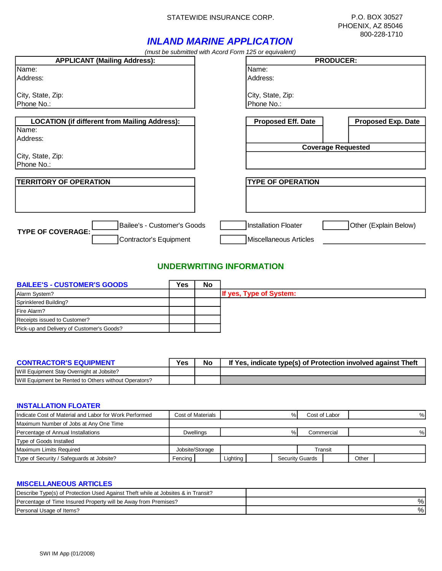### STATEWIDE INSURANCE CORP. P.O. BOX 30527

# *INLAND MARINE APPLICATION*

*(must be submitted with Acord Form 125 or equivalent)*

|                                                      | (illust be subtilitied with Acord Form TZJ or equivalent) |                           |
|------------------------------------------------------|-----------------------------------------------------------|---------------------------|
| <b>APPLICANT (Mailing Address):</b>                  | <b>PRODUCER:</b>                                          |                           |
| Name:                                                | Name:                                                     |                           |
| Address:                                             | Address:                                                  |                           |
|                                                      |                                                           |                           |
| City, State, Zip:                                    | City, State, Zip:                                         |                           |
| Phone No.:                                           | Phone No.:                                                |                           |
|                                                      |                                                           |                           |
| <b>LOCATION (if different from Mailing Address):</b> | <b>Proposed Eff. Date</b>                                 | <b>Proposed Exp. Date</b> |
| Name:                                                |                                                           |                           |
| Address:                                             |                                                           |                           |
|                                                      |                                                           | <b>Coverage Requested</b> |
| City, State, Zip:                                    |                                                           |                           |
| Phone No.:                                           |                                                           |                           |
|                                                      |                                                           |                           |
| <b>TERRITORY OF OPERATION</b>                        | <b>TYPE OF OPERATION</b>                                  |                           |
|                                                      |                                                           |                           |
|                                                      |                                                           |                           |
|                                                      |                                                           |                           |
|                                                      |                                                           |                           |
| Bailee's - Customer's Goods                          | <b>Installation Floater</b>                               | Other (Explain Below)     |
| <b>TYPE OF COVERAGE:</b><br>Contractor's Equipment   | <b>Miscellaneous Articles</b>                             |                           |
|                                                      |                                                           |                           |

# **UNDERWRITING INFORMATION**

| <b>BAILEE'S - CUSTOMER'S GOODS</b>        | Yes | No                      |
|-------------------------------------------|-----|-------------------------|
| Alarm System?                             |     | If yes, Type of System: |
| Sprinklered Building?                     |     |                         |
| Fire Alarm?                               |     |                         |
| Receipts issued to Customer?              |     |                         |
| Pick-up and Delivery of Customer's Goods? |     |                         |

| <b>CONTRACTOR'S EQUIPMENT</b>                         | Yes | No | If Yes, indicate type(s) of Protection involved against Theft |
|-------------------------------------------------------|-----|----|---------------------------------------------------------------|
| Will Equipment Stay Overnight at Jobsite?             |     |    |                                                               |
| Will Equipment be Rented to Others without Operators? |     |    |                                                               |

### **INSTALLATION FLOATER**

| Indicate Cost of Material and Labor for Work Performed | Cost of Materials | %        |                 | Cost of Labor |  |   |  | %                      |  |       |  |
|--------------------------------------------------------|-------------------|----------|-----------------|---------------|--|---|--|------------------------|--|-------|--|
| Maximum Number of Jobs at Any One Time                 |                   |          |                 |               |  |   |  |                        |  |       |  |
| Percentage of Annual Installations                     | Dwellings         |          | %<br>Commercial |               |  | % |  |                        |  |       |  |
| Type of Goods Installed                                |                   |          |                 |               |  |   |  |                        |  |       |  |
| Maximum Limits Required                                | Jobsite/Storage   |          |                 | Transit       |  |   |  |                        |  |       |  |
| Type of Security / Safeguards at Jobsite?              | Fencina           | Lighting |                 |               |  |   |  | <b>Security Guards</b> |  | Other |  |

### **MISCELLANEOUS ARTICLES**

| Describe Type(s) of Protection Used Against Theft while at Jobsites & in Transit? |  |
|-----------------------------------------------------------------------------------|--|
| Percentage of Time Insured Property will be Away from Premises?                   |  |
| Personal Usage of Items?                                                          |  |